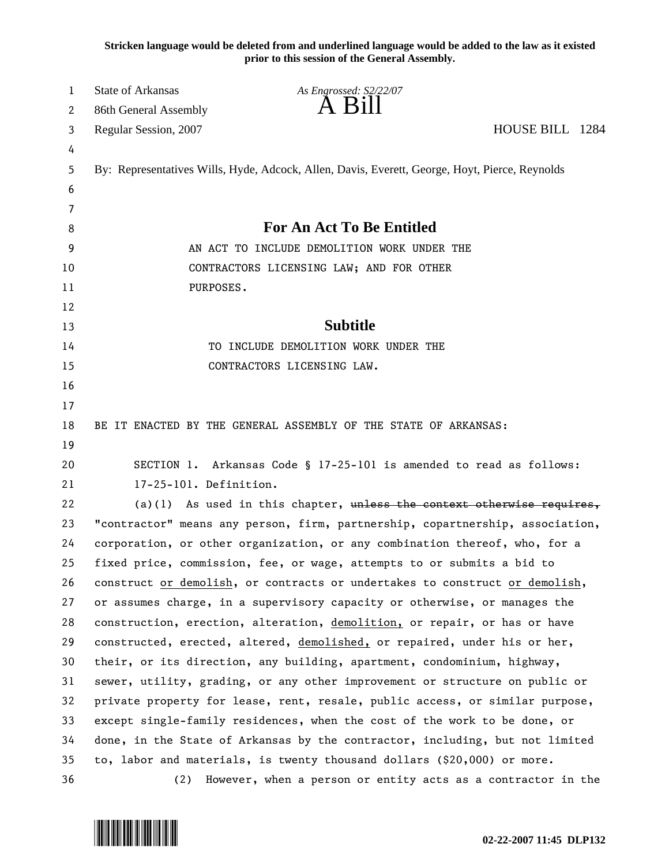**Stricken language would be deleted from and underlined language would be added to the law as it existed prior to this session of the General Assembly.**

| 1  | <b>State of Arkansas</b>                                                      | As Engrossed: S2/22/07                                                                         |                 |
|----|-------------------------------------------------------------------------------|------------------------------------------------------------------------------------------------|-----------------|
| 2  | 86th General Assembly                                                         | A Bill                                                                                         |                 |
| 3  | Regular Session, 2007                                                         |                                                                                                | HOUSE BILL 1284 |
| 4  |                                                                               |                                                                                                |                 |
| 5  |                                                                               | By: Representatives Wills, Hyde, Adcock, Allen, Davis, Everett, George, Hoyt, Pierce, Reynolds |                 |
| 6  |                                                                               |                                                                                                |                 |
| 7  |                                                                               |                                                                                                |                 |
| 8  | For An Act To Be Entitled                                                     |                                                                                                |                 |
| 9  | AN ACT TO INCLUDE DEMOLITION WORK UNDER THE                                   |                                                                                                |                 |
| 10 | CONTRACTORS LICENSING LAW; AND FOR OTHER                                      |                                                                                                |                 |
| 11 | PURPOSES.                                                                     |                                                                                                |                 |
| 12 |                                                                               |                                                                                                |                 |
| 13 |                                                                               | <b>Subtitle</b>                                                                                |                 |
| 14 |                                                                               | TO INCLUDE DEMOLITION WORK UNDER THE                                                           |                 |
| 15 |                                                                               | CONTRACTORS LICENSING LAW.                                                                     |                 |
| 16 |                                                                               |                                                                                                |                 |
| 17 |                                                                               |                                                                                                |                 |
| 18 |                                                                               | BE IT ENACTED BY THE GENERAL ASSEMBLY OF THE STATE OF ARKANSAS:                                |                 |
| 19 |                                                                               |                                                                                                |                 |
| 20 |                                                                               | SECTION 1. Arkansas Code § 17-25-101 is amended to read as follows:                            |                 |
| 21 | 17-25-101. Definition.                                                        |                                                                                                |                 |
| 22 |                                                                               | $(a)(1)$ As used in this chapter, unless the context otherwise requires,                       |                 |
| 23 | "contractor" means any person, firm, partnership, copartnership, association, |                                                                                                |                 |
| 24 |                                                                               | corporation, or other organization, or any combination thereof, who, for a                     |                 |
| 25 |                                                                               | fixed price, commission, fee, or wage, attempts to or submits a bid to                         |                 |
| 26 |                                                                               | construct or demolish, or contracts or undertakes to construct or demolish,                    |                 |
| 27 |                                                                               | or assumes charge, in a supervisory capacity or otherwise, or manages the                      |                 |
| 28 |                                                                               | construction, erection, alteration, demolition, or repair, or has or have                      |                 |
| 29 |                                                                               | constructed, erected, altered, demolished, or repaired, under his or her,                      |                 |
| 30 |                                                                               | their, or its direction, any building, apartment, condominium, highway,                        |                 |
| 31 |                                                                               | sewer, utility, grading, or any other improvement or structure on public or                    |                 |
| 32 |                                                                               | private property for lease, rent, resale, public access, or similar purpose,                   |                 |
| 33 |                                                                               | except single-family residences, when the cost of the work to be done, or                      |                 |
| 34 |                                                                               | done, in the State of Arkansas by the contractor, including, but not limited                   |                 |
| 35 |                                                                               | to, labor and materials, is twenty thousand dollars $(20,000)$ or more.                        |                 |
| 36 | (2)                                                                           | However, when a person or entity acts as a contractor in the                                   |                 |

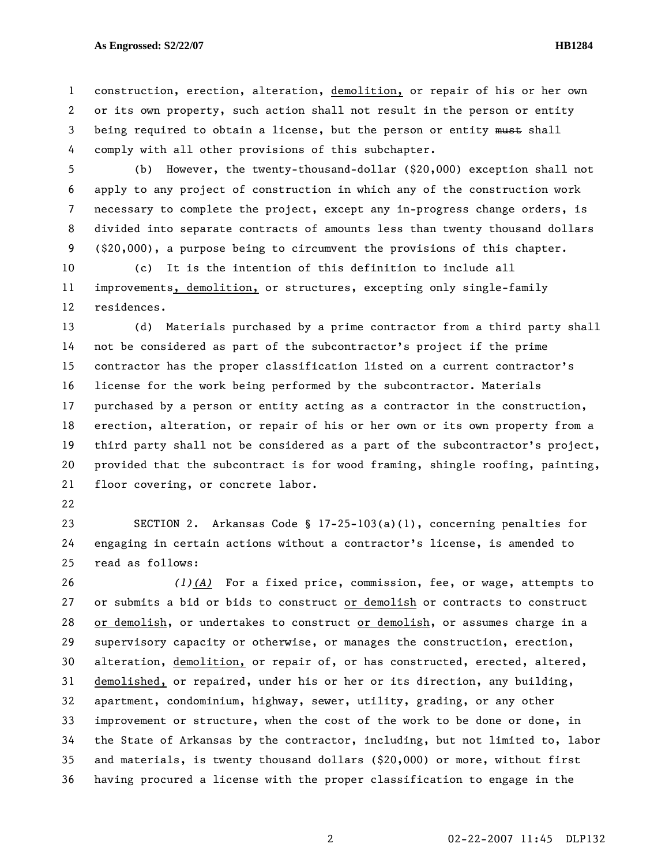## **As Engrossed: S2/22/07 HB1284**

1 construction, erection, alteration, demolition, or repair of his or her own 2 or its own property, such action shall not result in the person or entity 3 being required to obtain a license, but the person or entity must shall 4 comply with all other provisions of this subchapter.

5 (b) However, the twenty-thousand-dollar (\$20,000) exception shall not 6 apply to any project of construction in which any of the construction work 7 necessary to complete the project, except any in-progress change orders, is 8 divided into separate contracts of amounts less than twenty thousand dollars 9 (\$20,000), a purpose being to circumvent the provisions of this chapter.

10 (c) It is the intention of this definition to include all 11 improvements, demolition, or structures, excepting only single-family 12 residences.

13 (d) Materials purchased by a prime contractor from a third party shall 14 not be considered as part of the subcontractor's project if the prime 15 contractor has the proper classification listed on a current contractor's 16 license for the work being performed by the subcontractor. Materials 17 purchased by a person or entity acting as a contractor in the construction, 18 erection, alteration, or repair of his or her own or its own property from a 19 third party shall not be considered as a part of the subcontractor's project, 20 provided that the subcontract is for wood framing, shingle roofing, painting, 21 floor covering, or concrete labor.

22

23 SECTION 2. Arkansas Code § 17-25-103(a)(1), concerning penalties for 24 engaging in certain actions without a contractor's license, is amended to 25 read as follows:

26 *(1)(A)* For a fixed price, commission, fee, or wage, attempts to 27 or submits a bid or bids to construct or demolish or contracts to construct 28 or demolish, or undertakes to construct or demolish, or assumes charge in a 29 supervisory capacity or otherwise, or manages the construction, erection, 30 alteration, demolition, or repair of, or has constructed, erected, altered, 31 demolished, or repaired, under his or her or its direction, any building, 32 apartment, condominium, highway, sewer, utility, grading, or any other 33 improvement or structure, when the cost of the work to be done or done, in 34 the State of Arkansas by the contractor, including, but not limited to, labor 35 and materials, is twenty thousand dollars (\$20,000) or more, without first 36 having procured a license with the proper classification to engage in the